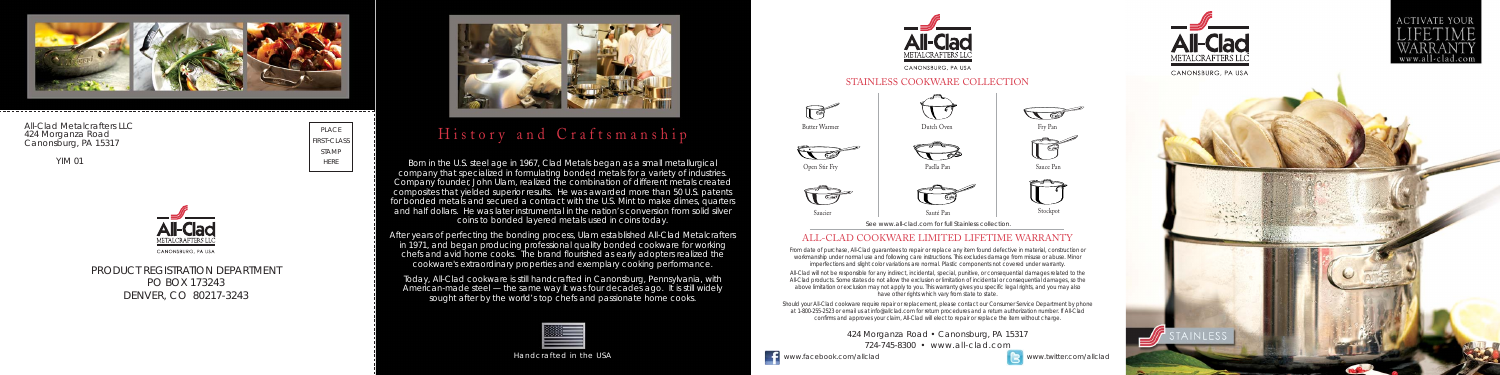424 Morganza Road • Canonsburg, PA 15317

724-745-8300 • www.all-clad.com

**EXECUTE:** www.facebook.com/allclad www.twitter.com/allclad





PRODUCT REGISTRATION DEPARTMENT PO BOX 173243 DENVER, CO 80217-3243



## ALL-CLAD COOKWARE LIMITED LIFETIME WARRANTY

All-Clad will not be responsible for any indirect, incidental, special, punitive, or consequential damages related to the All-Clad products. Some states do not allow the exclusion or limitation of incidental or consequential damages, so the above limitation or exclusion may not apply to you. This warranty gives you specific legal rights, and you may also have other rights which vary from state to state.

From date of purchase, All-Clad guarantees to repair or replace any item found defective in material, construction or workmanship under normal use and following care instructions. This excludes damage from misuse or abuse. Minor imperfections and slight color variations are normal. Plastic components not covered under warranty.

Should your All-Clad cookware require repair or replacement, please contact our Consumer Service Department by phone at 1-800-255-2523 or email us at info@allclad.com for return procedures and a return authorization number. If All-Clad confirms and approves your claim, All-Clad will elect to repair or replace the item without charge.



# History and Craftsmanship

Handcrafted in the USA



Born in the U.S. steel age in 1967, Clad Metals began as a small metallurgical company that specialized in formulating bonded metals for a variety of industries. Company founder, John Ulam, realized the combination of different metals created composites that yielded superior results. He was awarded more than 50 U.S. patents for bonded metals and secured a contract with the U.S. Mint to make dimes, quarters and half dollars. He was later instrumental in the nation's conversion from solid silver coins to bonded layered metals used in coins today.

After years of perfecting the bonding process, Ulam established All-Clad Metalcrafters in 1971, and began producing professional quality bonded cookware for working chefs and avid home cooks. The brand flourished as early adopters realized the cookware's extraordinary properties and exemplary cooking performance.

Today, All-Clad cookware is still handcrafted in Canonsburg, Pennsylvania, with American-made steel — the same way it was four decades ago. It is still widely sought after by the world's top chefs and passionate home cooks.

YIM 01

### STAINLESS COOKWARE COLLECTION

Saucier

 $\mathbb{F}$ 



Sauce Pan

 $\Box$ 

 $\sqrt{2}$ 









#### All-Clad Metalcrafters LLC 424 Morganza Road Canonsburg, PA 15317